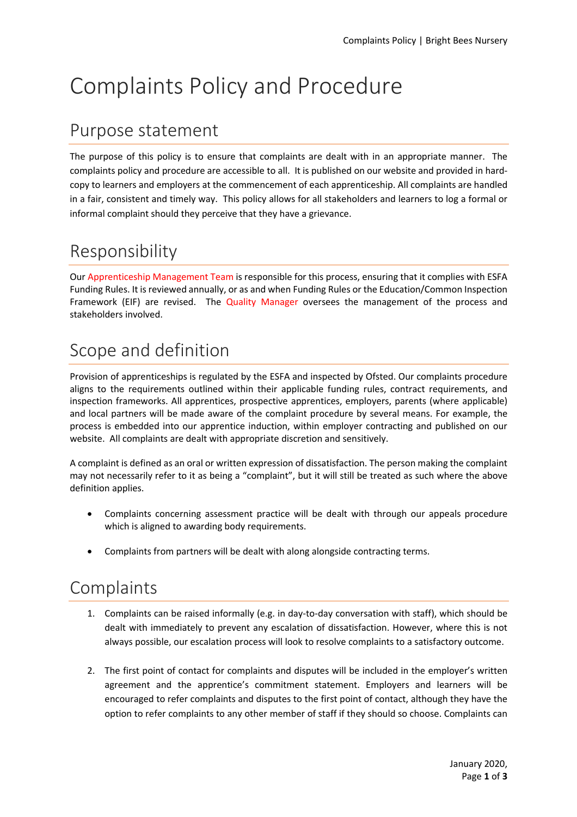# Complaints Policy and Procedure

# Purpose statement

The purpose of this policy is to ensure that complaints are dealt with in an appropriate manner. The complaints policy and procedure are accessible to all. It is published on our website and provided in hardcopy to learners and employers at the commencement of each apprenticeship. All complaints are handled in a fair, consistent and timely way. This policy allows for all stakeholders and learners to log a formal or informal complaint should they perceive that they have a grievance.

# Responsibility

Our Apprenticeship Management Team is responsible for this process, ensuring that it complies with ESFA Funding Rules. It is reviewed annually, or as and when Funding Rules or the Education/Common Inspection Framework (EIF) are revised. The Quality Manager oversees the management of the process and stakeholders involved.

# Scope and definition

Provision of apprenticeships is regulated by the ESFA and inspected by Ofsted. Our complaints procedure aligns to the requirements outlined within their applicable funding rules, contract requirements, and inspection frameworks. All apprentices, prospective apprentices, employers, parents (where applicable) and local partners will be made aware of the complaint procedure by several means. For example, the process is embedded into our apprentice induction, within employer contracting and published on our website. All complaints are dealt with appropriate discretion and sensitively.

A complaint is defined as an oral or written expression of dissatisfaction. The person making the complaint may not necessarily refer to it as being a "complaint", but it will still be treated as such where the above definition applies.

- Complaints concerning assessment practice will be dealt with through our appeals procedure which is aligned to awarding body requirements.
- Complaints from partners will be dealt with along alongside contracting terms.

#### **Complaints**

- 1. Complaints can be raised informally (e.g. in day-to-day conversation with staff), which should be dealt with immediately to prevent any escalation of dissatisfaction. However, where this is not always possible, our escalation process will look to resolve complaints to a satisfactory outcome.
- 2. The first point of contact for complaints and disputes will be included in the employer's written agreement and the apprentice's commitment statement. Employers and learners will be encouraged to refer complaints and disputes to the first point of contact, although they have the option to refer complaints to any other member of staff if they should so choose. Complaints can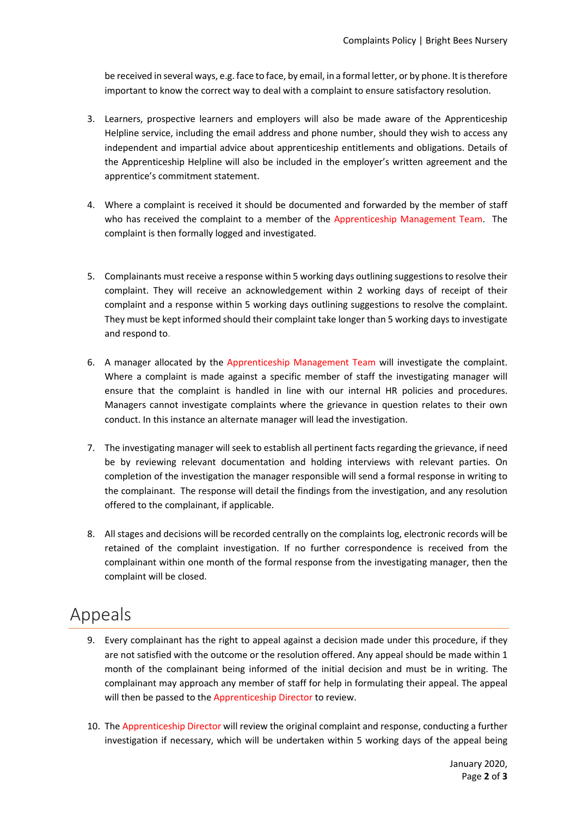be received in several ways, e.g. face to face, by email, in a formal letter, or by phone. It is therefore important to know the correct way to deal with a complaint to ensure satisfactory resolution.

- 3. Learners, prospective learners and employers will also be made aware of the Apprenticeship Helpline service, including the email address and phone number, should they wish to access any independent and impartial advice about apprenticeship entitlements and obligations. Details of the Apprenticeship Helpline will also be included in the employer's written agreement and the apprentice's commitment statement.
- 4. Where a complaint is received it should be documented and forwarded by the member of staff who has received the complaint to a member of the Apprenticeship Management Team. The complaint is then formally logged and investigated.
- 5. Complainants must receive a response within 5 working days outlining suggestions to resolve their complaint. They will receive an acknowledgement within 2 working days of receipt of their complaint and a response within 5 working days outlining suggestions to resolve the complaint. They must be kept informed should their complaint take longer than 5 working days to investigate and respond to.
- 6. A manager allocated by the Apprenticeship Management Team will investigate the complaint. Where a complaint is made against a specific member of staff the investigating manager will ensure that the complaint is handled in line with our internal HR policies and procedures. Managers cannot investigate complaints where the grievance in question relates to their own conduct. In this instance an alternate manager will lead the investigation.
- 7. The investigating manager will seek to establish all pertinent facts regarding the grievance, if need be by reviewing relevant documentation and holding interviews with relevant parties. On completion of the investigation the manager responsible will send a formal response in writing to the complainant. The response will detail the findings from the investigation, and any resolution offered to the complainant, if applicable.
- 8. All stages and decisions will be recorded centrally on the complaints log, electronic records will be retained of the complaint investigation. If no further correspondence is received from the complainant within one month of the formal response from the investigating manager, then the complaint will be closed.

#### Appeals

- 9. Every complainant has the right to appeal against a decision made under this procedure, if they are not satisfied with the outcome or the resolution offered. Any appeal should be made within 1 month of the complainant being informed of the initial decision and must be in writing. The complainant may approach any member of staff for help in formulating their appeal. The appeal will then be passed to the Apprenticeship Director to review.
- 10. The Apprenticeship Director will review the original complaint and response, conducting a further investigation if necessary, which will be undertaken within 5 working days of the appeal being